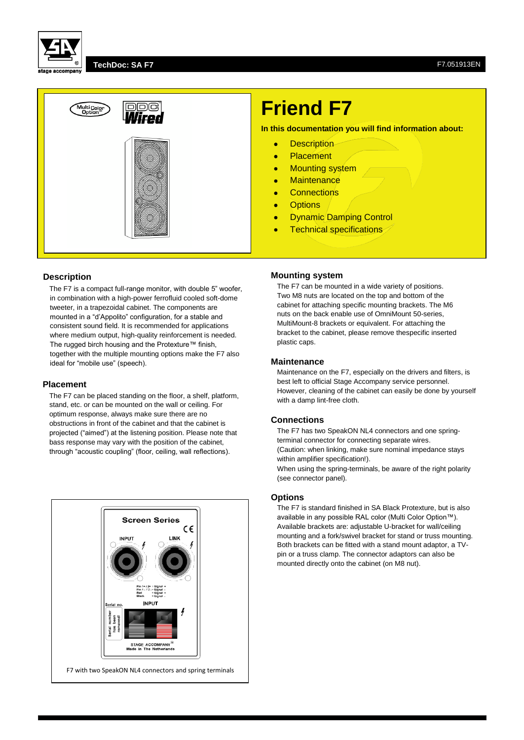

#### **TechDoc: SA F7** F7.051913EN



# **Friend F7**

**In this documentation you will find information about:**

- **•** Description
- Placement
- Mounting system
- **•** Maintenance
- **•** Connections
- **•** Options
- Dynamic Damping Control
- **•** Technical specifications

# **Description**

The F7 is a compact full-range monitor, with double 5" woofer, in combination with a high-power ferrofluid cooled soft-dome tweeter, in a trapezoidal cabinet. The components are mounted in a "d'Appolito" configuration, for a stable and consistent sound field. It is recommended for applications where medium output, high-quality reinforcement is needed. The rugged birch housing and the Protexture™ finish, together with the multiple mounting options make the F7 also ideal for "mobile use" (speech).

#### **Placement**

The F7 can be placed standing on the floor, a shelf, platform, stand, etc. or can be mounted on the wall or ceiling. For optimum response, always make sure there are no obstructions in front of the cabinet and that the cabinet is projected ("aimed") at the listening position. Please note that bass response may vary with the position of the cabinet, through "acoustic coupling" (floor, ceiling, wall reflections).



#### **Mounting system**

The F7 can be mounted in a wide variety of positions. Two M8 nuts are located on the top and bottom of the cabinet for attaching specific mounting brackets. The M6 nuts on the back enable use of OmniMount 50-series, MultiMount-8 brackets or equivalent. For attaching the bracket to the cabinet, please remove thespecific inserted plastic caps.

#### **Maintenance**

Maintenance on the F7, especially on the drivers and filters, is best left to official Stage Accompany service personnel. However, cleaning of the cabinet can easily be done by yourself with a damp lint-free cloth.

# **Connections**

The F7 has two SpeakON NL4 connectors and one springterminal connector for connecting separate wires. (Caution: when linking, make sure nominal impedance stays within amplifier specification!).

When using the spring-terminals, be aware of the right polarity (see connector panel).

### **Options**

The F7 is standard finished in SA Black Protexture, but is also available in any possible RAL color (Multi Color Option™). Available brackets are: adjustable U-bracket for wall/ceiling mounting and a fork/swivel bracket for stand or truss mounting. Both brackets can be fitted with a stand mount adaptor, a TVpin or a truss clamp. The connector adaptors can also be mounted directly onto the cabinet (on M8 nut).